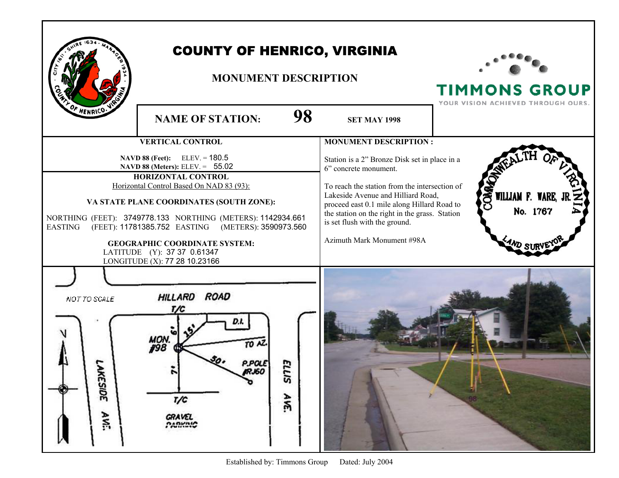|                              | <b>COUNTY OF HENRICO, VIRGINIA</b><br><b>MONUMENT DESCRIPTION</b>                                                                                                                                                                                                                                                                                                                                                         |                   |                                                                                                                                                                                                                                                                                                                               | <b>TIMMONS GROUP</b>                                      |
|------------------------------|---------------------------------------------------------------------------------------------------------------------------------------------------------------------------------------------------------------------------------------------------------------------------------------------------------------------------------------------------------------------------------------------------------------------------|-------------------|-------------------------------------------------------------------------------------------------------------------------------------------------------------------------------------------------------------------------------------------------------------------------------------------------------------------------------|-----------------------------------------------------------|
| OF HENRICO.                  | <b>NAME OF STATION:</b>                                                                                                                                                                                                                                                                                                                                                                                                   | 98                | <b>SET MAY 1998</b>                                                                                                                                                                                                                                                                                                           | YOUR VISION ACHIEVED THROUGH OURS.                        |
|                              | <b>VERTICAL CONTROL</b>                                                                                                                                                                                                                                                                                                                                                                                                   |                   | <b>MONUMENT DESCRIPTION:</b>                                                                                                                                                                                                                                                                                                  |                                                           |
| <b>EASTING</b>               | <b>NAVD 88 (Feet):</b> ELEV. = 180.5<br>NAVD 88 (Meters): ELEV. = 55.02<br><b>HORIZONTAL CONTROL</b><br>Horizontal Control Based On NAD 83 (93):<br>VA STATE PLANE COORDINATES (SOUTH ZONE):<br>NORTHING (FEET): 3749778.133 NORTHING (METERS): 1142934.661<br>(FEET): 11781385.752 EASTING (METERS): 3590973.560<br><b>GEOGRAPHIC COORDINATE SYSTEM:</b><br>LATITUDE (Y): 37 37 0.61347<br>LONGITUDE (X): 77 28 10.23166 |                   | Station is a 2" Bronze Disk set in place in a<br>6" concrete monument.<br>To reach the station from the intersection of<br>Lakeside Avenue and Hilliard Road,<br>proceed east 0.1 mile along Hillard Road to<br>the station on the right in the grass. Station<br>is set flush with the ground.<br>Azimuth Mark Monument #98A | COM<br><b>WILLIAM F. WARE,</b><br>No. 1767<br>$4M_{D,SI}$ |
| NOT TO SCALE<br>ESIDE<br>AW. | HILLARD ROAD<br>Г/С<br>D.I.<br>MON<br>#98<br>TO AZ<br>T/C<br><b>GRAVEL</b><br>namne                                                                                                                                                                                                                                                                                                                                       | 51<br>ທ<br>ℶ<br>۵ |                                                                                                                                                                                                                                                                                                                               |                                                           |